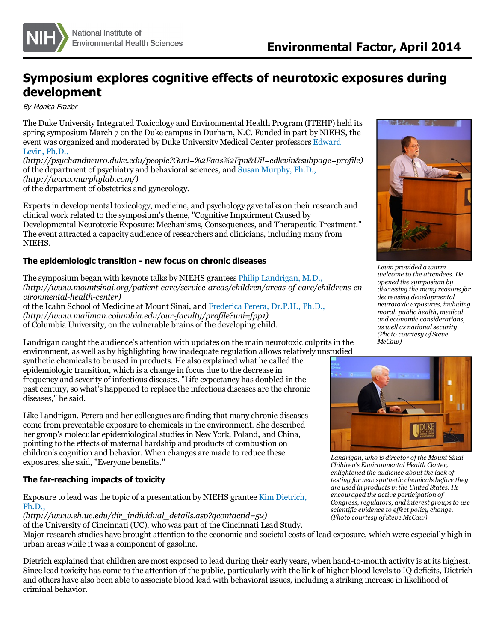

# **Symposium explores cognitive effects of neurotoxic exposures during development**

By Monica Frazier

The Duke University Integrated Toxicology and Environmental Health Program (ITEHP) held its spring symposium March 7 on the Duke campusin Durham, N.C. Funded in part by NIEHS, the event was organized and [moderated](http://psychandneuro.duke.edu/people?Gurl=%2Faas%2Fpn&Uil=edlevin&subpage=profile) by Duke University Medical Center professors Edward Levin, Ph.D.,

*(http://psychandneuro.duke.edu/people?Gurl=%2Faas%2Fpn&Uil=edlevin&subpage=profile)* of the department of psychiatry and behavioral sciences, and Susan [Murphy,](http://www.murphylab.com/) Ph.D., *(http://www.murphylab.com/)* of the department of obstetrics and gynecology.

Experts in developmental toxicology, medicine, and psychology gave talks on their research and clinical work related to the symposium'stheme, "Cognitive Impairment Caused by Developmental Neurotoxic Exposure: Mechanisms, Consequences, and Therapeutic Treatment." The event attracted a capacity audience of researchers and clinicians, including many from NIEHS.

## **The epidemiologic transition - new focus on chronic diseases**

The symposium began with keynote talks by NIEHS grantees Philip [Landrigan,](http://www.mountsinai.org/patient-care/service-areas/children/areas-of-care/childrens-environmental-health-center) M.D., *(http://www.mountsinai.org/patient-care/service-areas/children/areas-of-care/childrens-en vironmental-health-center)* of the Icahn School of Medicine at Mount Sinai, and [Frederica](http://www.mailman.columbia.edu/our-faculty/profile?uni=fpp1) Perera, Dr.P.H., Ph.D., *(http://www.mailman.columbia.edu/our-faculty/profile?uni=fpp1)* of Columbia University, on the vulnerable brains of the developing child.

Landrigan caught the audience's attention with updates on the main neurotoxic culprits in the environment, as well as by highlighting how inadequate regulation allowsrelatively unstudied

synthetic chemicals to be used in products. He also explained what he called the epidemiologic transition, which is a change in focus due to the decrease in frequency and severity of infectious diseases. "Life expectancy has doubled in the past century, so what's happened to replace the infectious diseases are the chronic diseases," he said.

Like Landrigan, Perera and hercolleagues are finding that many chronic diseases come from preventable exposure to chemicalsin the environment. She described her group's molecular epidemiological studies in New York, Poland, and China, pointing to the effects of maternal hardship and products of combustion on children's cognition and behavior. When changes are made to reduce these exposures, she said, "Everyone benefits."

## **The far-reaching impacts of toxicity**

Exposure to lead wasthe topic of a [presentation](http://www.eh.uc.edu/dir_individual_details.asp?qcontactid=52) by NIEHS grantee Kim Dietrich, Ph.D.,

*(http://www.eh.uc.edu/dir\_individual\_details.asp?qcontactid=52)*

of the University of Cincinnati (UC), who was part of the Cincinnati Lead Study. Major research studies have brought attention to the economic and societal costs of lead exposure, which were especially high in urban areas while it was a component of gasoline.

Dietrich explained that children are most exposed to lead during their early years, when hand-to-mouth activity is at its highest. Since lead toxicity has come to the attention of the public, particularly with the link of higher blood levels to IQ deficits, Dietrich and others have also been able to associate blood lead with behavioral issues, including a striking increase in likelihood of criminal behavior.



*Levin provided a warm welcome to the attendees. He opened the symposium by discussing the many reasonsfor decreasing developmental*  $moral, public health, medical,$ *and economic considerations, as well as national security. (Photo courtesy of Steve McCaw)*



*Landrigan, who is director ofthe Mount Sinai Children's Environmental Health Center, enlightened the audience about the lack of testing for new synthetic chemicals before they are used in productsin the United States. He encouraged the active participation of Congress, regulators, and interest groupsto use scientific evidence to ef ect policy change. (Photo courtesy of Steve McCaw)*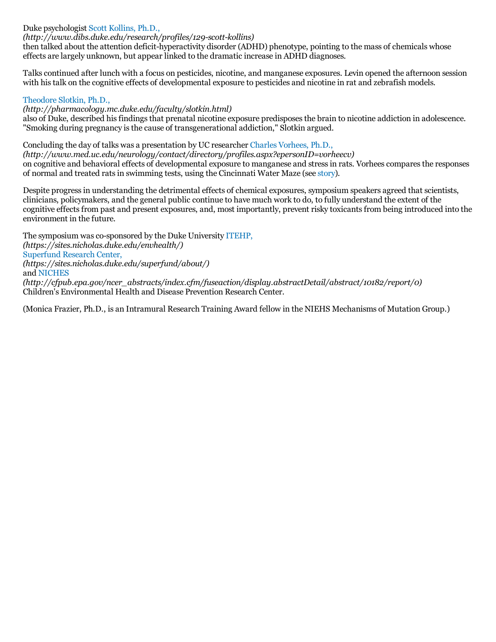## Duke psychologist Scott [Kollins,](http://www.dibs.duke.edu/research/profiles/129-scott-kollins) Ph.D.,

### *(http://www.dibs.duke.edu/research/profiles/129-scott-kollins)*

then talked about the attention deficit-hyperactivity disorder (ADHD) phenotype, pointing to the mass of chemicals whose effects are largely unknown, but appear linked to the dramatic increase in ADHD diagnoses.

Talkscontinued after lunch with a focus on pesticides, nicotine, and manganese exposures. Levin opened the afternoon session with his talk on the cognitive effects of developmental exposure to pesticides and nicotine in rat and zebrafish models.

### [Theodore](http://pharmacology.mc.duke.edu/faculty/slotkin.html) Slotkin, Ph.D.,

*(http://pharmacology.mc.duke.edu/faculty/slotkin.html)*

also of Duke, described hisfindingsthat prenatal nicotine exposure predisposesthe brain to nicotine addiction in adolescence. "Smoking during pregnancy isthe cause of transgenerational addiction," Slotkin argued.

Concluding the day of talks was a presentation by UC researcher Charles [Vorhees,](http://www.med.uc.edu/neurology/contact/directory/profiles.aspx?epersonID=vorheecv) Ph.D., *(http://www.med.uc.edu/neurology/contact/directory/profiles.aspx?epersonID=vorheecv)* on cognitive and behavioral effects of developmental exposure to manganese and stressin rats. Vorheescomparesthe responses of normal and treated ratsin swimming tests, using the Cincinnati Water Maze (see [story](http://www.niehs.nih.gov/news/newsletter/2012/10/science-neurotox/index.htm)).

Despite progressin understanding the detrimental effects of chemical exposures, symposium speakers agreed that scientists, clinicians, policymakers, and the general public continue to have much work to do, to fully understand the extent of the cognitive effects from past and present exposures, and, most importantly, prevent risky toxicants from being introduced into the environment in the future.

The symposium was co-sponsored by the Duke University [ITEHP,](https://sites.nicholas.duke.edu/envhealth/) *(https://sites.nicholas.duke.edu/envhealth/)* [Superfund](https://sites.nicholas.duke.edu/superfund/about/) Research Center, *(https://sites.nicholas.duke.edu/superfund/about/)* and [NICHES](http://cfpub.epa.gov/ncer_abstracts/index.cfm/fuseaction/display.abstractDetail/abstract/10182/report/0) *(http://cfpub.epa.gov/ncer\_abstracts/index.cfm/fuseaction/display.abstractDetail/abstract/10182/report/0)* Children's Environmental Health and Disease Prevention Research Center.

(Monica Frazier, Ph.D., is an Intramural Research Training Award fellow in the NIEHS Mechanisms of Mutation Group.)